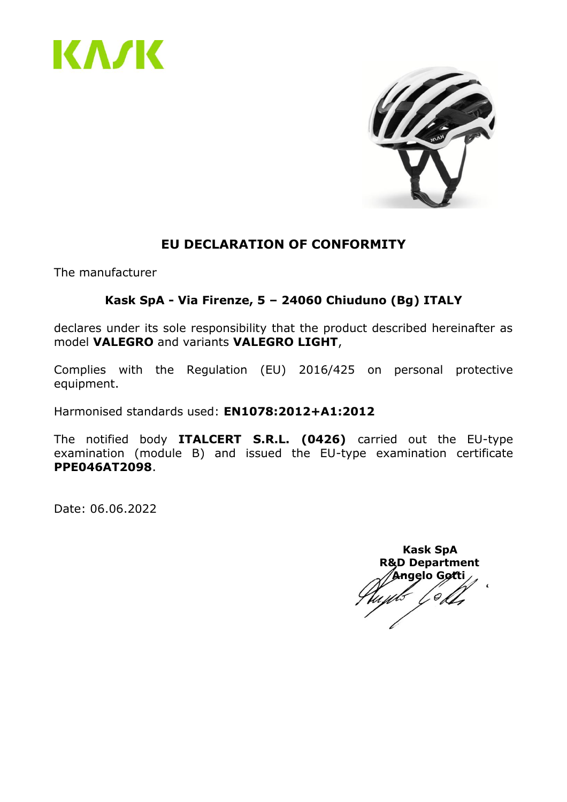



#### **EU DECLARATION OF CONFORMITY**

The manufacturer

#### **Kask SpA - Via Firenze, 5 – 24060 Chiuduno (Bg) ITALY**

declares under its sole responsibility that the product described hereinafter as model **VALEGRO** and variants **VALEGRO LIGHT**,

Complies with the Regulation (EU) 2016/425 on personal protective equipment.

Harmonised standards used: **EN1078:2012+A1:2012**

The notified body **ITALCERT S.R.L. (0426)** carried out the EU-type examination (module B) and issued the EU-type examination certificate **PPE046AT2098**.

 **Kask SpA R&D Department Angelo Gotti**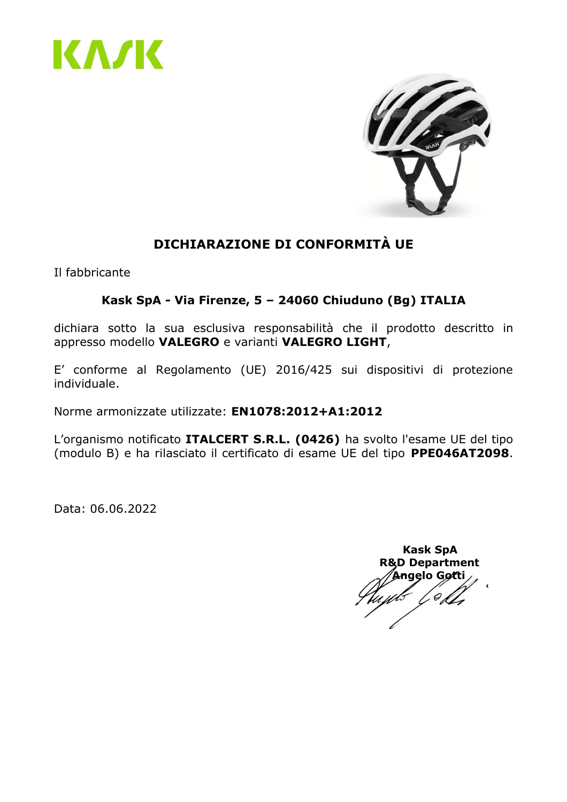



# **DICHIARAZIONE DI CONFORMITÀ UE**

Il fabbricante

#### **Kask SpA - Via Firenze, 5 – 24060 Chiuduno (Bg) ITALIA**

dichiara sotto la sua esclusiva responsabilità che il prodotto descritto in appresso modello **VALEGRO** e varianti **VALEGRO LIGHT**,

E' conforme al Regolamento (UE) 2016/425 sui dispositivi di protezione individuale.

Norme armonizzate utilizzate: **EN1078:2012+A1:2012**

L'organismo notificato **ITALCERT S.R.L. (0426)** ha svolto l'esame UE del tipo (modulo B) e ha rilasciato il certificato di esame UE del tipo **PPE046AT2098**.

 **Kask SpA R&D Department Angelo Gotti**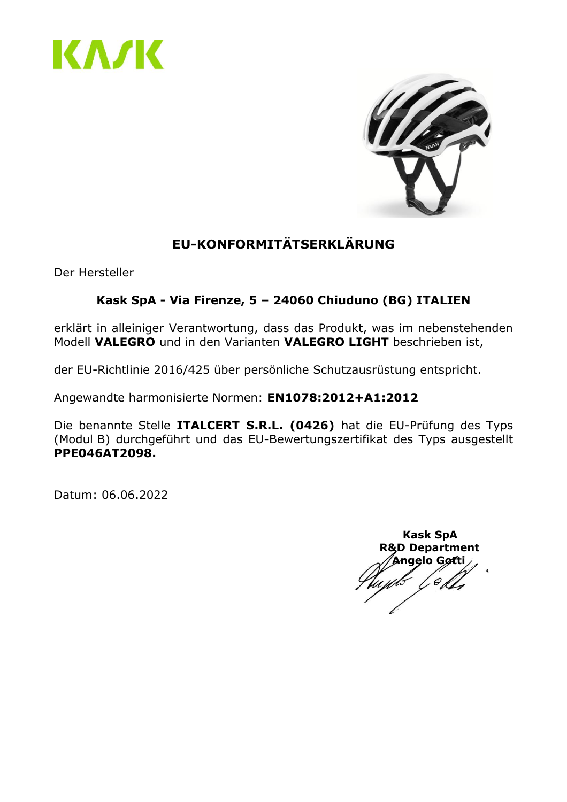



# **EU-KONFORMITÄTSERKLÄRUNG**

Der Hersteller

#### **Kask SpA - Via Firenze, 5 – 24060 Chiuduno (BG) ITALIEN**

erklärt in alleiniger Verantwortung, dass das Produkt, was im nebenstehenden Modell **VALEGRO** und in den Varianten **VALEGRO LIGHT** beschrieben ist,

der EU-Richtlinie 2016/425 über persönliche Schutzausrüstung entspricht.

Angewandte harmonisierte Normen: **EN1078:2012+A1:2012**

Die benannte Stelle **ITALCERT S.R.L. (0426)** hat die EU-Prüfung des Typs (Modul B) durchgeführt und das EU-Bewertungszertifikat des Typs ausgestellt **PPE046AT2098.**

 **Kask SpA R&D Department Angelo Gotti**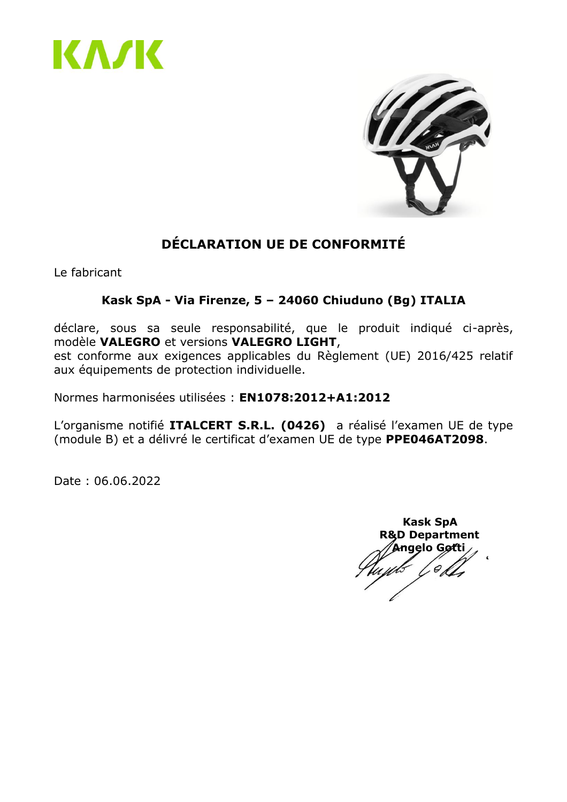



# **DÉCLARATION UE DE CONFORMITÉ**

Le fabricant

#### **Kask SpA - Via Firenze, 5 – 24060 Chiuduno (Bg) ITALIA**

déclare, sous sa seule responsabilité, que le produit indiqué ci-après, modèle **VALEGRO** et versions **VALEGRO LIGHT**, est conforme aux exigences applicables du Règlement (UE) 2016/425 relatif aux équipements de protection individuelle.

Normes harmonisées utilisées : **EN1078:2012+A1:2012**

L'organisme notifié **ITALCERT S.R.L. (0426)** a réalisé l'examen UE de type (module B) et a délivré le certificat d'examen UE de type **PPE046AT2098**.

Date : 06.06.2022

 **Kask SpA R&D Department Angelo Gotti**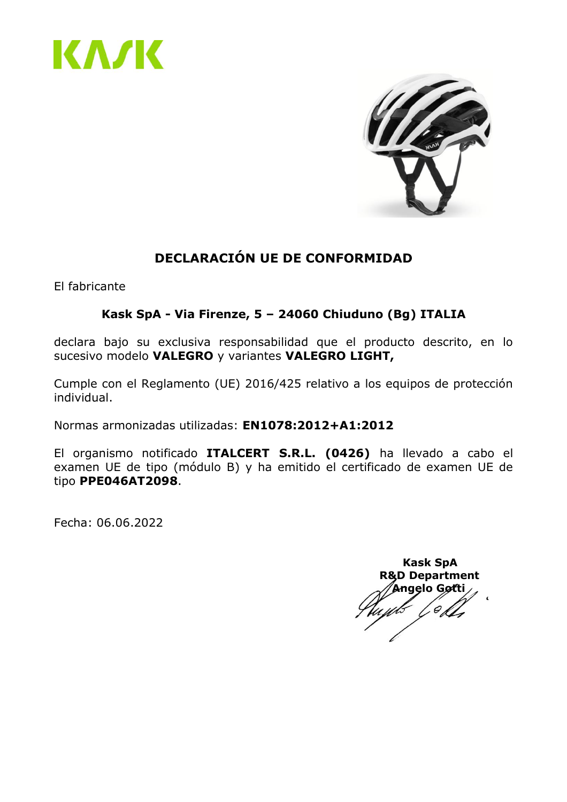



# **DECLARACIÓN UE DE CONFORMIDAD**

El fabricante

#### **Kask SpA - Via Firenze, 5 – 24060 Chiuduno (Bg) ITALIA**

declara bajo su exclusiva responsabilidad que el producto descrito, en lo sucesivo modelo **VALEGRO** y variantes **VALEGRO LIGHT,**

Cumple con el Reglamento (UE) 2016/425 relativo a los equipos de protección individual.

Normas armonizadas utilizadas: **EN1078:2012+A1:2012**

El organismo notificado **ITALCERT S.R.L. (0426)** ha llevado a cabo el examen UE de tipo (módulo B) y ha emitido el certificado de examen UE de tipo **PPE046AT2098**.

Fecha: 06.06.2022

 **Kask SpA R&D Department Angelo Gotti** $\mathcal{O}_{\mathcal{A}}$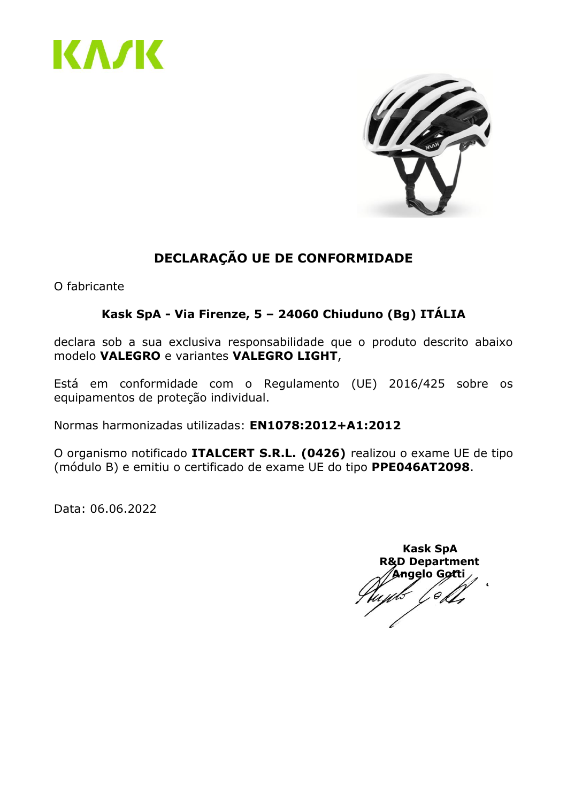



# **DECLARAÇÃO UE DE CONFORMIDADE**

O fabricante

#### **Kask SpA - Via Firenze, 5 – 24060 Chiuduno (Bg) ITÁLIA**

declara sob a sua exclusiva responsabilidade que o produto descrito abaixo modelo **VALEGRO** e variantes **VALEGRO LIGHT**,

Está em conformidade com o Regulamento (UE) 2016/425 sobre os equipamentos de proteção individual.

Normas harmonizadas utilizadas: **EN1078:2012+A1:2012**

O organismo notificado **ITALCERT S.R.L. (0426)** realizou o exame UE de tipo (módulo B) e emitiu o certificado de exame UE do tipo **PPE046AT2098**.

 **Kask SpA R&D Department Angelo Gotti**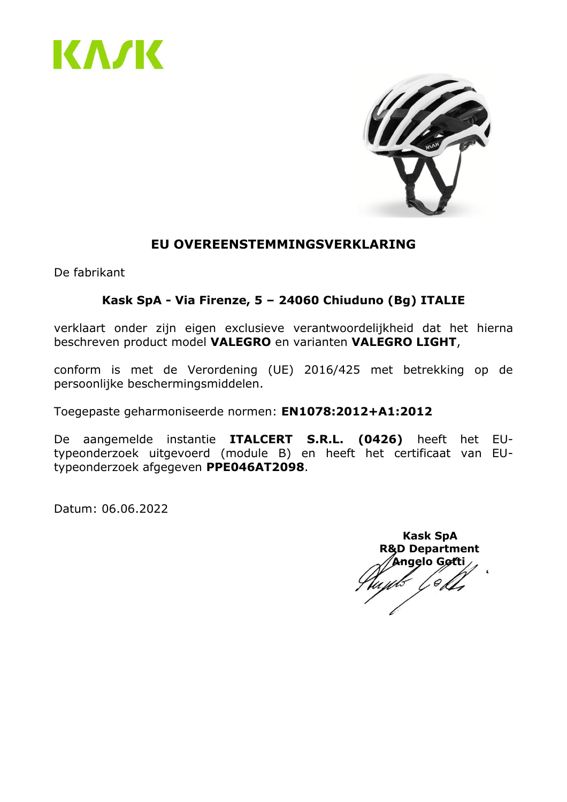



#### **EU OVEREENSTEMMINGSVERKLARING**

De fabrikant

#### **Kask SpA - Via Firenze, 5 – 24060 Chiuduno (Bg) ITALIE**

verklaart onder zijn eigen exclusieve verantwoordelijkheid dat het hierna beschreven product model **VALEGRO** en varianten **VALEGRO LIGHT**,

conform is met de Verordening (UE) 2016/425 met betrekking op de persoonlijke beschermingsmiddelen.

Toegepaste geharmoniseerde normen: **EN1078:2012+A1:2012**

De aangemelde instantie **ITALCERT S.R.L. (0426)** heeft het EUtypeonderzoek uitgevoerd (module B) en heeft het certificaat van EUtypeonderzoek afgegeven **PPE046AT2098**.

 **Kask SpA R&D Department Angelo Gotti**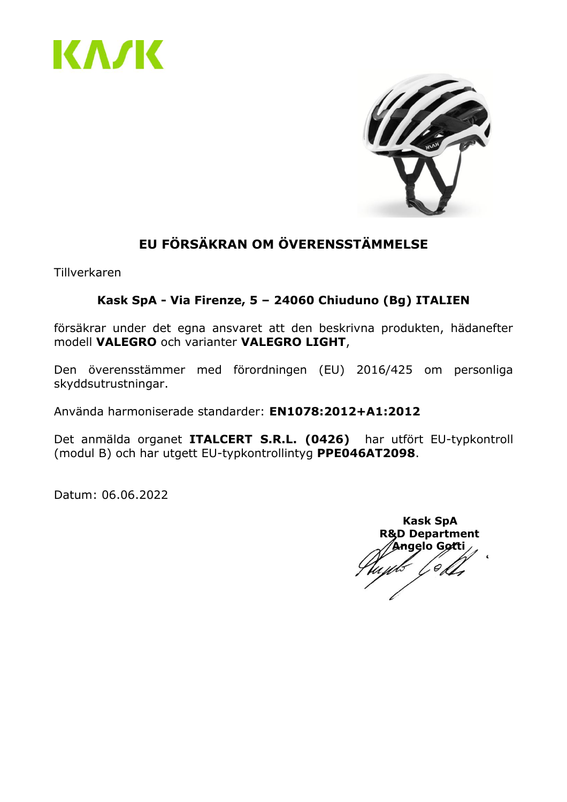



# **EU FÖRSÄKRAN OM ÖVERENSSTÄMMELSE**

Tillverkaren

#### **Kask SpA - Via Firenze, 5 – 24060 Chiuduno (Bg) ITALIEN**

försäkrar under det egna ansvaret att den beskrivna produkten, hädanefter modell **VALEGRO** och varianter **VALEGRO LIGHT**,

Den överensstämmer med förordningen (EU) 2016/425 om personliga skyddsutrustningar.

Använda harmoniserade standarder: **EN1078:2012+A1:2012**

Det anmälda organet **ITALCERT S.R.L. (0426)** har utfört EU-typkontroll (modul B) och har utgett EU-typkontrollintyg **PPE046AT2098**.

 **Kask SpA R&D Department Angelo Gotti**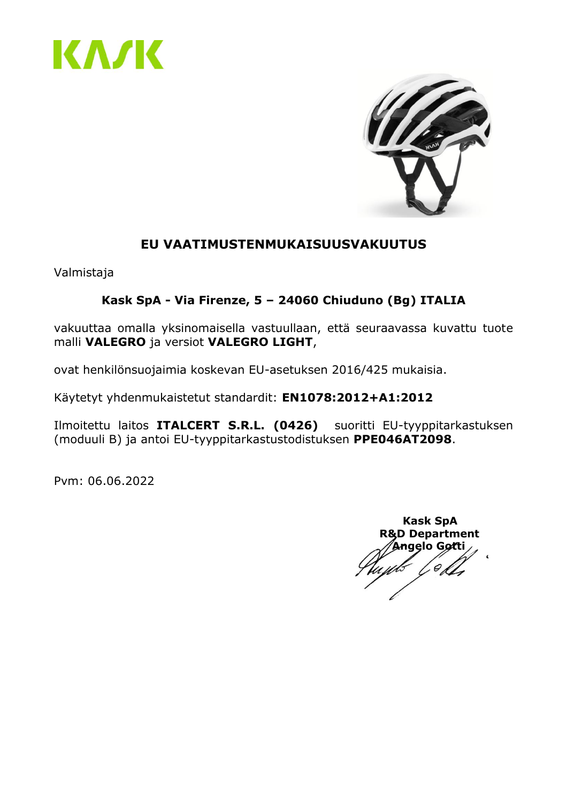



# **EU VAATIMUSTENMUKAISUUSVAKUUTUS**

Valmistaja

#### **Kask SpA - Via Firenze, 5 – 24060 Chiuduno (Bg) ITALIA**

vakuuttaa omalla yksinomaisella vastuullaan, että seuraavassa kuvattu tuote malli **VALEGRO** ja versiot **VALEGRO LIGHT**,

ovat henkilönsuojaimia koskevan EU-asetuksen 2016/425 mukaisia.

Käytetyt yhdenmukaistetut standardit: **EN1078:2012+A1:2012**

Ilmoitettu laitos **ITALCERT S.R.L. (0426)** suoritti EU-tyyppitarkastuksen (moduuli B) ja antoi EU-tyyppitarkastustodistuksen **PPE046AT2098**.

Pvm: 06.06.2022

 **Kask SpA R&D Department Angelo Gotti**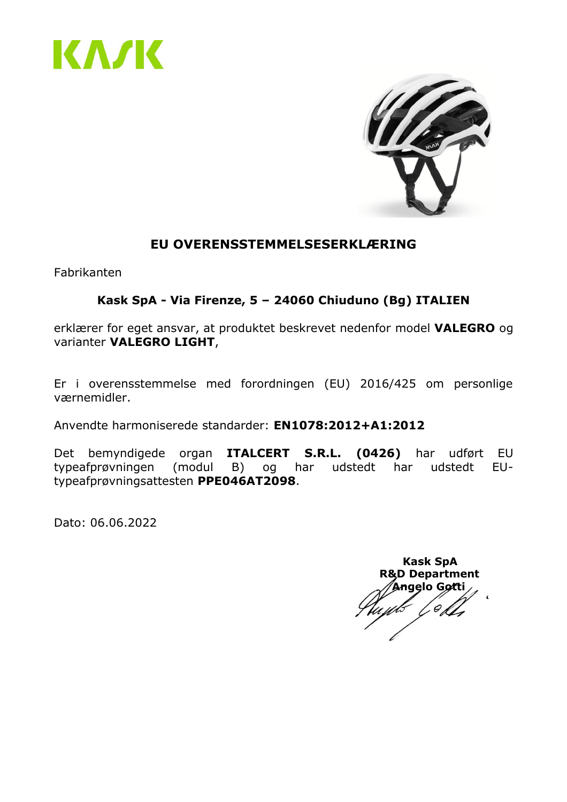



#### **EU OVERENSSTEMMELSESERKLÆRING**

Fabrikanten

#### **Kask SpA - Via Firenze, 5 – 24060 Chiuduno (Bg) ITALIEN**

erklærer for eget ansvar, at produktet beskrevet nedenfor model **VALEGRO** og varianter **VALEGRO LIGHT**,

Er i overensstemmelse med forordningen (EU) 2016/425 om personlige værnemidler.

Anvendte harmoniserede standarder: **EN1078:2012+A1:2012**

Det bemyndigede organ **ITALCERT S.R.L. (0426)** har udført EU typeafprøvningen (modul B) og har udstedt har udstedt EUtypeafprøvningsattesten **PPE046AT2098**.

 **Kask SpA R&D Department Angelo Gotti**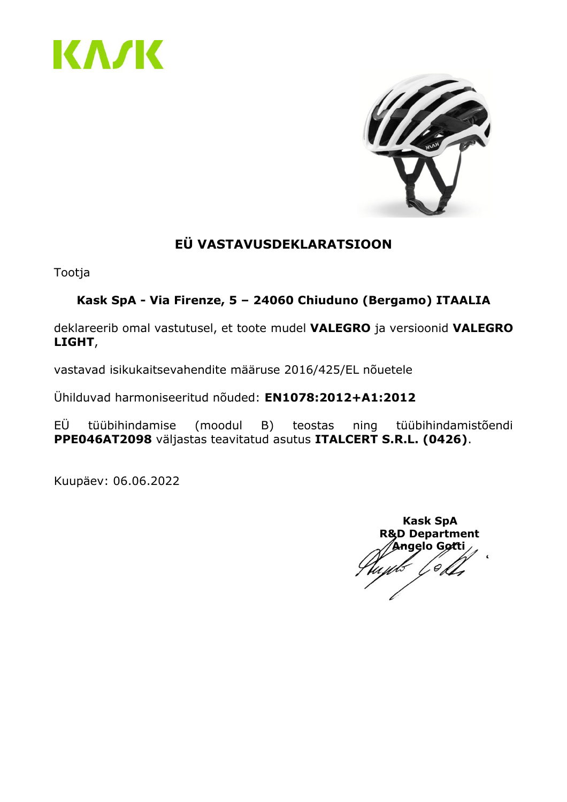



# **EÜ VASTAVUSDEKLARATSIOON**

Tootja

# **Kask SpA - Via Firenze, 5 – 24060 Chiuduno (Bergamo) ITAALIA**

deklareerib omal vastutusel, et toote mudel **VALEGRO** ja versioonid **VALEGRO LIGHT**,

vastavad isikukaitsevahendite määruse 2016/425/EL nõuetele

Ühilduvad harmoniseeritud nõuded: **EN1078:2012+A1:2012**

EÜ tüübihindamise (moodul B) teostas ning tüübihindamistõendi **PPE046AT2098** väljastas teavitatud asutus **ITALCERT S.R.L. (0426)**.

Kuupäev: 06.06.2022

 **Kask SpA R&D Department Angelo Gotti**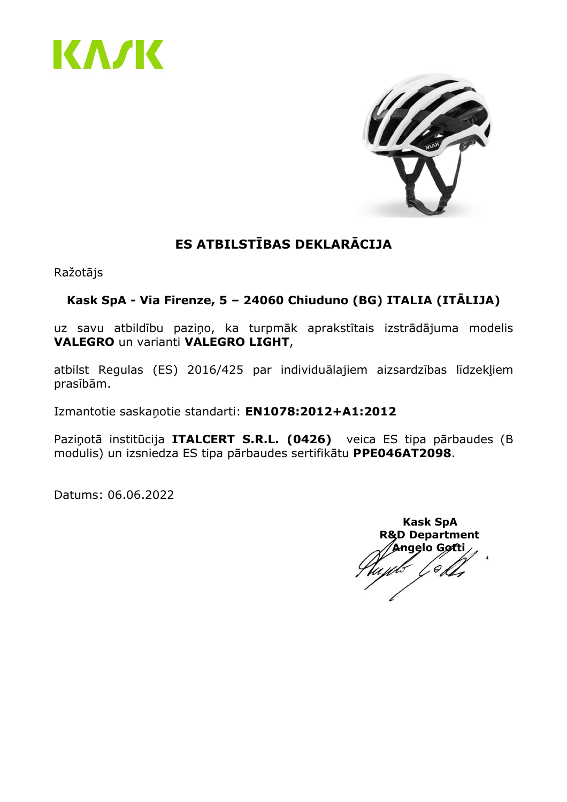



# **ES ATBILSTĪBAS DEKLARĀCIJA**

Ražotājs

#### **Kask SpA - Via Firenze, 5 – 24060 Chiuduno (BG) ITALIA (ITĀLIJA)**

uz savu atbildību paziņo, ka turpmāk aprakstītais izstrādājuma modelis **VALEGRO** un varianti **VALEGRO LIGHT**,

atbilst Regulas (ES) 2016/425 par individuālajiem aizsardzības līdzekļiem prasībām.

Izmantotie saskaņotie standarti: **EN1078:2012+A1:2012**

Paziņotā institūcija **ITALCERT S.R.L. (0426)** veica ES tipa pārbaudes (B modulis) un izsniedza ES tipa pārbaudes sertifikātu **PPE046AT2098**.

 **Kask SpA R&D Department Angelo Gotti** $\mathcal O$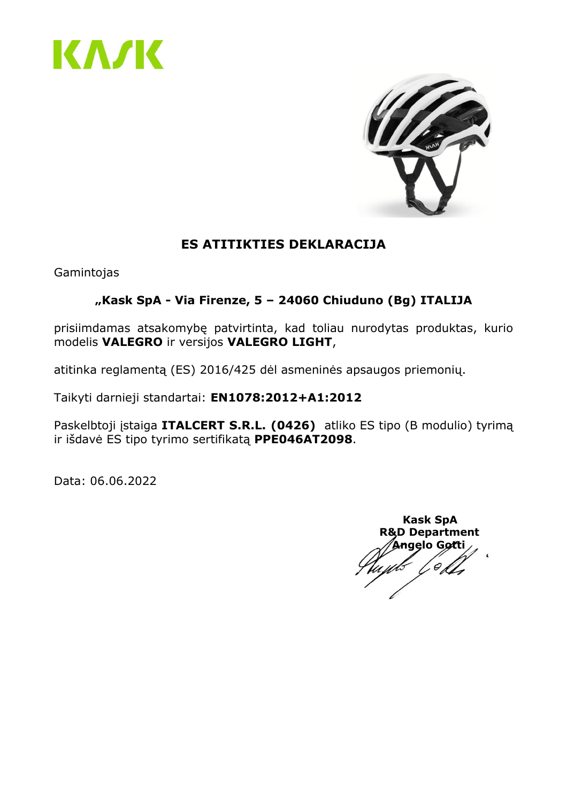



# **ES ATITIKTIES DEKLARACIJA**

Gamintojas

#### **"Kask SpA - Via Firenze, 5 – 24060 Chiuduno (Bg) ITALIJA**

prisiimdamas atsakomybę patvirtinta, kad toliau nurodytas produktas, kurio modelis **VALEGRO** ir versijos **VALEGRO LIGHT**,

atitinka reglamentą (ES) 2016/425 dėl asmeninės apsaugos priemonių.

Taikyti darnieji standartai: **EN1078:2012+A1:2012**

Paskelbtoji įstaiga **ITALCERT S.R.L. (0426)** atliko ES tipo (B modulio) tyrimą ir išdavė ES tipo tyrimo sertifikatą **PPE046AT2098**.

 **Kask SpA R&D Department Angelo Gotti**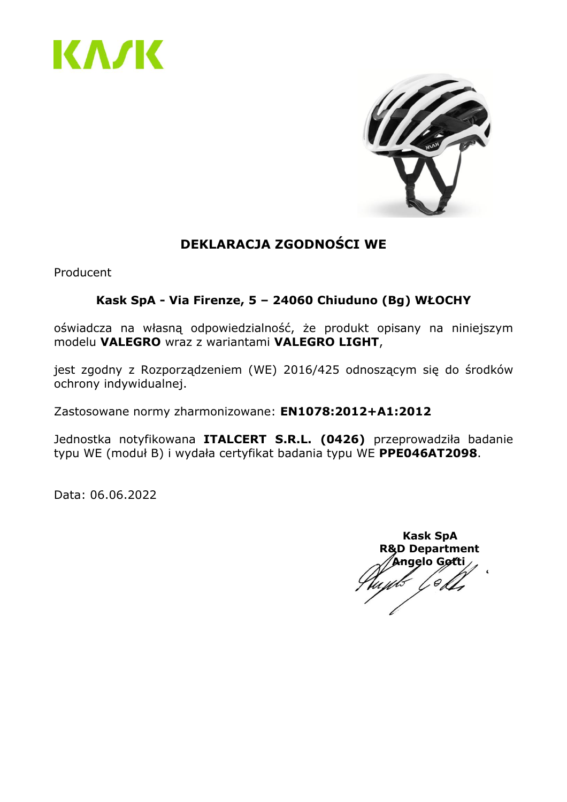



# **DEKLARACJA ZGODNOŚCI WE**

Producent

#### **Kask SpA - Via Firenze, 5 – 24060 Chiuduno (Bg) WŁOCHY**

oświadcza na własną odpowiedzialność, że produkt opisany na niniejszym modelu **VALEGRO** wraz z wariantami **VALEGRO LIGHT**,

jest zgodny z Rozporządzeniem (WE) 2016/425 odnoszącym się do środków ochrony indywidualnej.

Zastosowane normy zharmonizowane: **EN1078:2012+A1:2012**

Jednostka notyfikowana **ITALCERT S.R.L. (0426)** przeprowadziła badanie typu WE (moduł B) i wydała certyfikat badania typu WE **PPE046AT2098**.

 **Kask SpA R&D Department Angelo Gotti**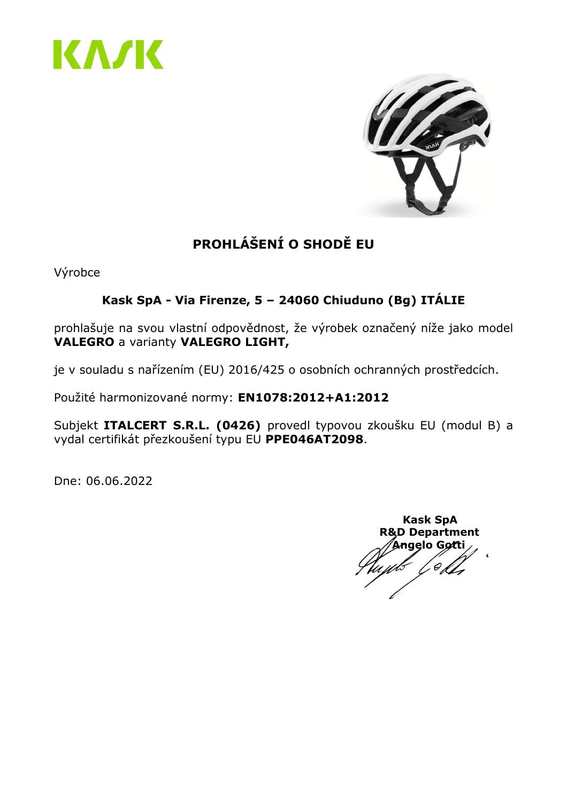



# **PROHLÁŠENÍ O SHODĚ EU**

Výrobce

# **Kask SpA - Via Firenze, 5 – 24060 Chiuduno (Bg) ITÁLIE**

prohlašuje na svou vlastní odpovědnost, že výrobek označený níže jako model **VALEGRO** a varianty **VALEGRO LIGHT,**

je v souladu s nařízením (EU) 2016/425 o osobních ochranných prostředcích.

Použité harmonizované normy: **EN1078:2012+A1:2012**

Subjekt **ITALCERT S.R.L. (0426)** provedl typovou zkoušku EU (modul B) a vydal certifikát přezkoušení typu EU **PPE046AT2098**.

Dne: 06.06.2022

 **Kask SpA R&D Department Angelo Gotti**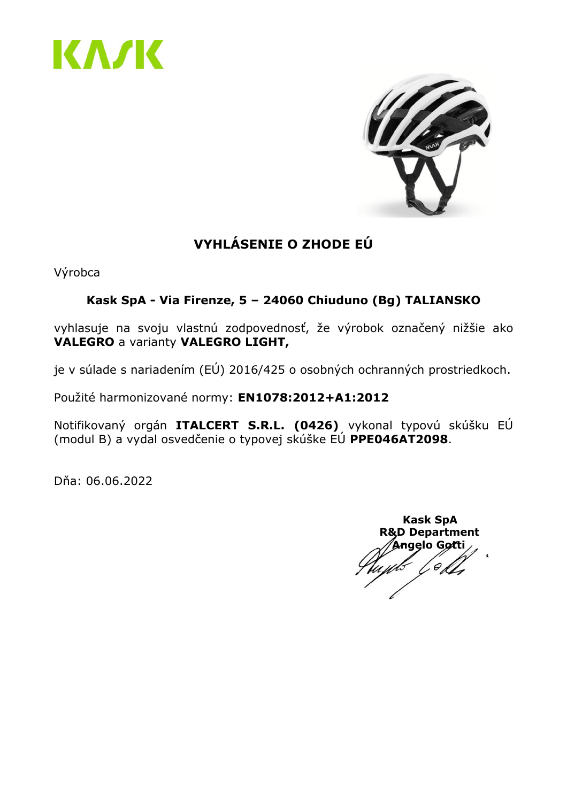



# **VYHLÁSENIE O ZHODE EÚ**

Výrobca

# **Kask SpA - Via Firenze, 5 – 24060 Chiuduno (Bg) TALIANSKO**

vyhlasuje na svoju vlastnú zodpovednosť, že výrobok označený nižšie ako **VALEGRO** a varianty **VALEGRO LIGHT,**

je v súlade s nariadením (EÚ) 2016/425 o osobných ochranných prostriedkoch.

Použité harmonizované normy: **EN1078:2012+A1:2012**

Notifikovaný orgán **ITALCERT S.R.L. (0426)** vykonal typovú skúšku EÚ (modul B) a vydal osvedčenie o typovej skúške EÚ **PPE046AT2098**.

Dňa: 06.06.2022

 **Kask SpA R&D Department Angelo Gotti**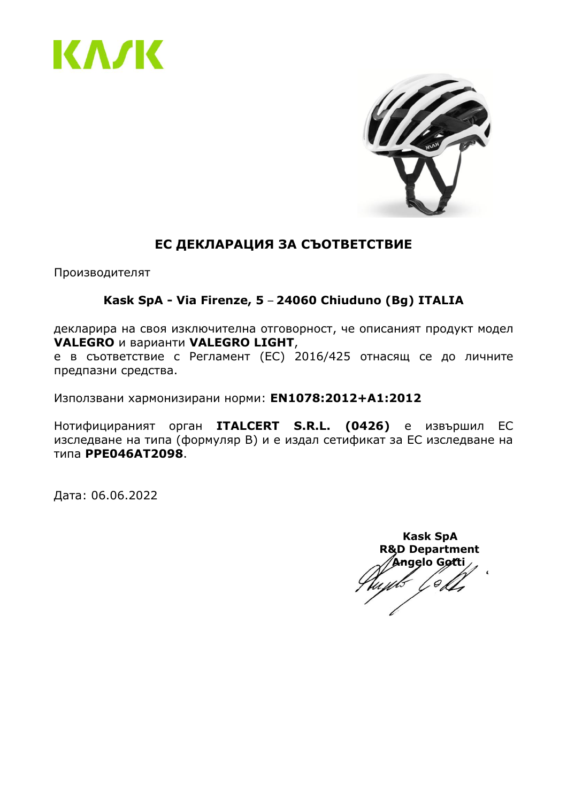



# **ЕС ДЕКЛАРАЦИЯ ЗА СЪОТВЕТСТВИЕ**

Производителят

#### **Kask SpA - Via Firenze, 5** – **24060 Chiuduno (Bg) ITALIA**

декларира на своя изключителна отговорност, че описаният продукт модел **VALEGRO** и варианти **VALEGRO LIGHT**,

е в съответствие с Регламент (ЕС) 2016/425 отнасящ се до личните предпазни средства.

Използвани хармонизирани норми: **EN1078:2012+A1:2012**

Нотифицираният орган **ITALCERT S.R.L. (0426)** е извършил ЕС изследване на типа (формуляр B) и е издал сетификат за ЕС изследване на типа **PPE046AT2098**.

Дата: 06.06.2022

 **Kask SpA R&D Department Angelo Gotti**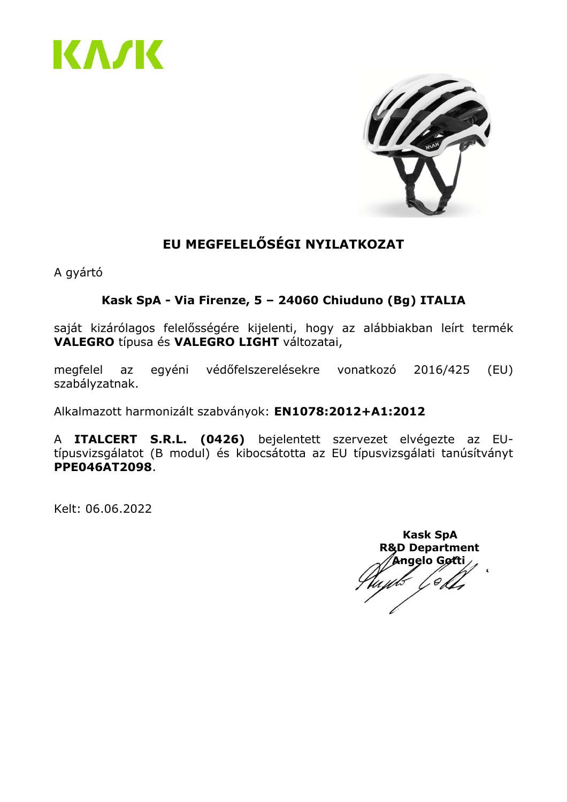



# **EU MEGFELELŐSÉGI NYILATKOZAT**

A gyártó

# **Kask SpA - Via Firenze, 5 – 24060 Chiuduno (Bg) ITALIA**

saját kizárólagos felelősségére kijelenti, hogy az alábbiakban leírt termék **VALEGRO** típusa és **VALEGRO LIGHT** változatai,

megfelel az egyéni védőfelszerelésekre vonatkozó 2016/425 (EU) szabályzatnak.

Alkalmazott harmonizált szabványok: **EN1078:2012+A1:2012**

A **ITALCERT S.R.L. (0426)** bejelentett szervezet elvégezte az EUtípusvizsgálatot (B modul) és kibocsátotta az EU típusvizsgálati tanúsítványt **PPE046AT2098**.

Kelt: 06.06.2022

 **Kask SpA R&D Department Angelo Gotti**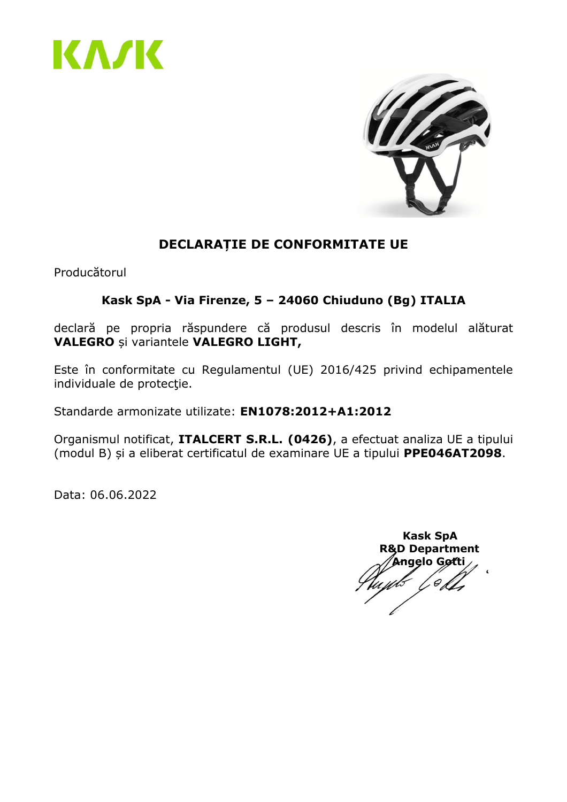



# **DECLARAȚIE DE CONFORMITATE UE**

Producătorul

#### **Kask SpA - Via Firenze, 5 – 24060 Chiuduno (Bg) ITALIA**

declară pe propria răspundere că produsul descris în modelul alăturat **VALEGRO** și variantele **VALEGRO LIGHT,**

Este în conformitate cu Regulamentul (UE) 2016/425 privind echipamentele individuale de protecţie.

Standarde armonizate utilizate: **EN1078:2012+A1:2012**

Organismul notificat, **ITALCERT S.R.L. (0426)**, a efectuat analiza UE a tipului (modul B) și a eliberat certificatul de examinare UE a tipului **PPE046AT2098**.

 **Kask SpA R&D Department Angelo Gotti**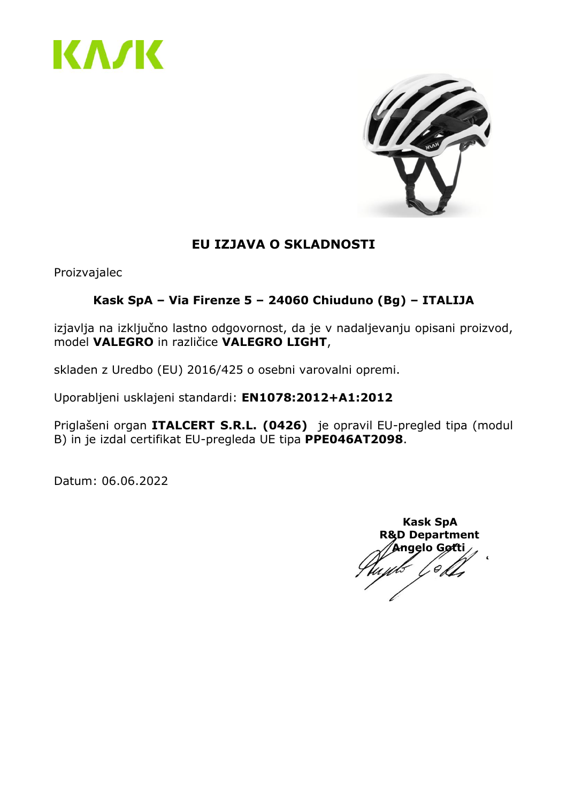



# **EU IZJAVA O SKLADNOSTI**

Proizvajalec

# **Kask SpA – Via Firenze 5 – 24060 Chiuduno (Bg) – ITALIJA**

izjavlja na izključno lastno odgovornost, da je v nadaljevanju opisani proizvod, model **VALEGRO** in različice **VALEGRO LIGHT**,

skladen z Uredbo (EU) 2016/425 o osebni varovalni opremi.

Uporabljeni usklajeni standardi: **EN1078:2012+A1:2012**

Priglašeni organ **ITALCERT S.R.L. (0426)** je opravil EU-pregled tipa (modul B) in je izdal certifikat EU-pregleda UE tipa **PPE046AT2098**.

 **Kask SpA R&D Department Angelo Gotti**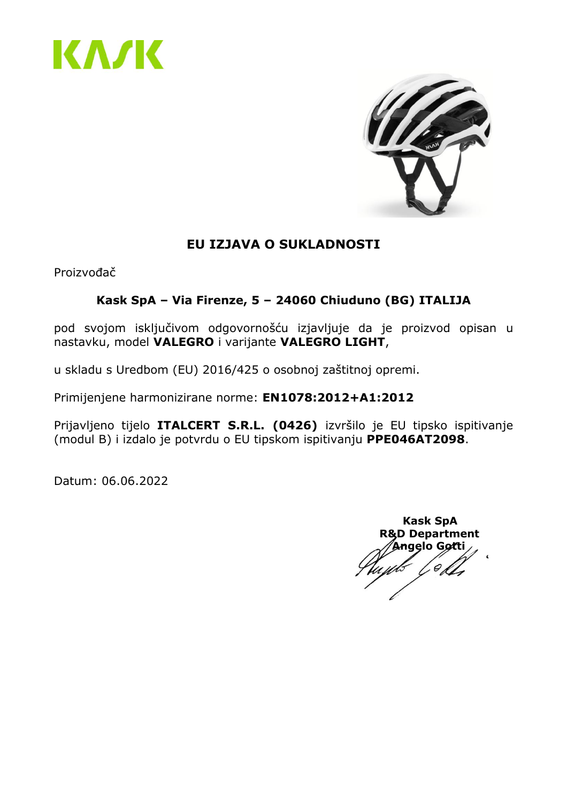



# **EU IZJAVA O SUKLADNOSTI**

Proizvođač

# **Kask SpA – Via Firenze, 5 – 24060 Chiuduno (BG) ITALIJA**

pod svojom isključivom odgovornošću izjavljuje da je proizvod opisan u nastavku, model **VALEGRO** i varijante **VALEGRO LIGHT**,

u skladu s Uredbom (EU) 2016/425 o osobnoj zaštitnoj opremi.

Primijenjene harmonizirane norme: **EN1078:2012+A1:2012**

Prijavljeno tijelo **ITALCERT S.R.L. (0426)** izvršilo je EU tipsko ispitivanje (modul B) i izdalo je potvrdu o EU tipskom ispitivanju **PPE046AT2098**.

 **Kask SpA R&D Department Angelo Gotti**0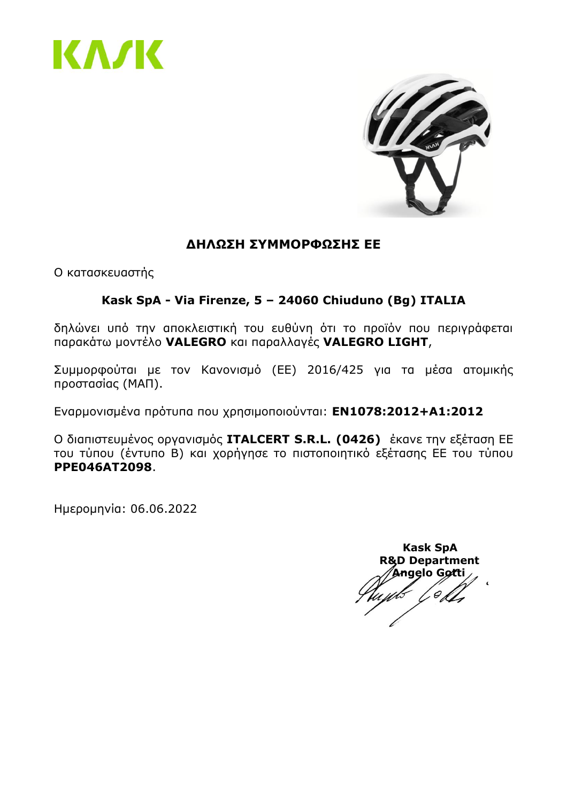



#### **ΔΗΛΩΣΗ ΣΥΜΜΟΡΦΩΣΗΣ ΕΕ**

Ο κατασκευαστής

#### **Kask SpA - Via Firenze, 5 – 24060 Chiuduno (Bg) ITALIA**

δηλώνει υπό την αποκλειστική του ευθύνη ότι το προϊόν που περιγράφεται παρακάτω μοντέλο **VALEGRO** και παραλλαγές **VALEGRO LIGHT**,

Συμμορφούται με τον Κανονισμό (ΕΕ) 2016/425 για τα μέσα ατομικής προστασίας (ΜΑΠ).

Εναρμονισμένα πρότυπα που χρησιμοποιούνται: **EN1078:2012+A1:2012**

Ο διαπιστευμένος οργανισμός **ITALCERT S.R.L. (0426)** έκανε την εξέταση ΕΕ του τύπου (έντυπο B) και χορήγησε το πιστοποιητικό εξέτασης ΕΕ του τύπου **PPE046AT2098**.

Ημερομηνία: 06.06.2022

 **Kask SpA R&D Department Angelo Gotti**